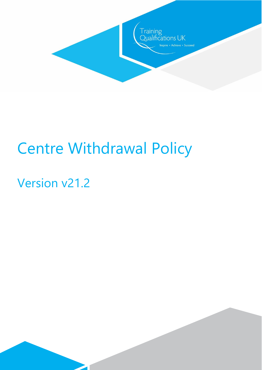

# Centre Withdrawal Policy

# Version v21.2

 $\overline{\phantom{a}}$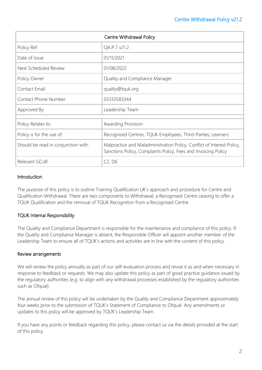| Centre Withdrawal Policy            |                                                                                                                                          |
|-------------------------------------|------------------------------------------------------------------------------------------------------------------------------------------|
| Policy Ref                          | QA.P.7 v21.2                                                                                                                             |
| Date of Issue                       | 01/11/2021                                                                                                                               |
| Next Scheduled Review               | 01/08/2022                                                                                                                               |
| Policy Owner                        | Quality and Compliance Manager                                                                                                           |
| Contact Email                       | quality@tquk.org                                                                                                                         |
| Contact Phone Number                | 03333583344                                                                                                                              |
| Approved By                         | Leadership Team                                                                                                                          |
|                                     |                                                                                                                                          |
| Policy Relates to:                  | Awarding Provision                                                                                                                       |
| Policy is for the use of:           | Recognised Centres, TQUK Employees, Third-Parties, Learners                                                                              |
| Should be read in conjunction with: | Malpractice and Maladministration Policy, Conflict of Interest Policy,<br>Sanctions Policy, Complaints Policy, Fees and Invoicing Policy |
| Relevant GCoR                       | C2, D6                                                                                                                                   |

#### **Introduction**

The purpose of this policy is to outline Training Qualification UK's approach and procedure for Centre and Qualification Withdrawal. There are two components to Withdrawal; a Recognised Centre ceasing to offer a TQUK Qualification and the removal of TQUK Recognition from a Recognised Centre.

# TQUK Internal Responsibility

The Quality and Compliance Department is responsible for the maintenance and compliance of this policy. If the Quality and Compliance Manager is absent, the Responsible Officer will appoint another member of the Leadership Team to ensure all of TQUK's actions and activities are in line with the content of this policy.

#### Review arrangements

We will review the policy annually as part of our self-evaluation process and revise it as and when necessary in response to feedback or requests. We may also update this policy as part of good practice guidance issued by the regulatory authorities (e.g. to align with any withdrawal processes established by the regulatory authorities such as Ofqual).

The annual review of this policy will be undertaken by the Quality and Compliance Department approximately four weeks prior to the submission of TQUK's Statement of Compliance to Ofqual. Any amendments or updates to this policy will be approved by TQUK's Leadership Team.

If you have any points or feedback regarding this policy, please contact us via the details provided at the start of this policy.